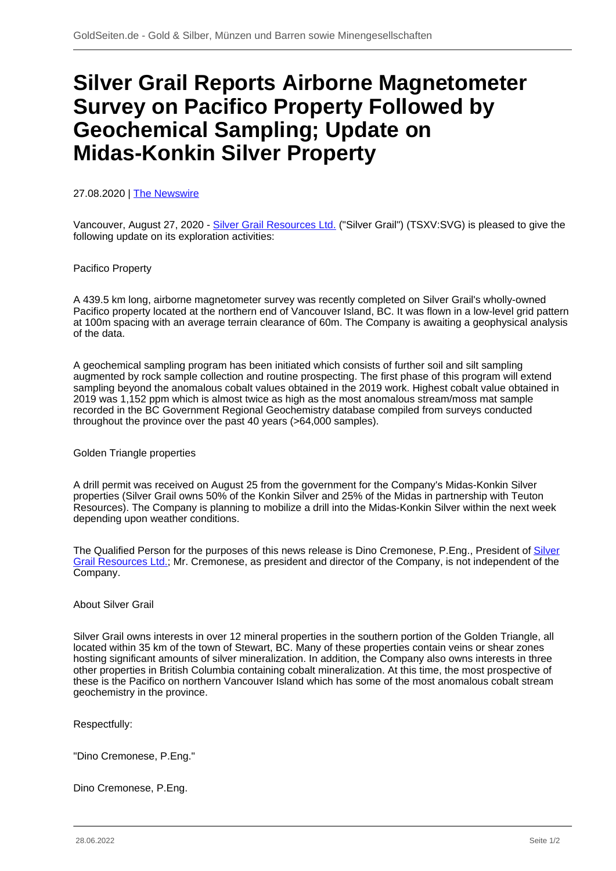# **Silver Grail Reports Airborne Magnetometer Survey on Pacifico Property Followed by Geochemical Sampling; Update on Midas-Konkin Silver Property**

## 27.08.2020 | [The Newswire](/profil/215--The-Newswire)

Vancouver, August 27, 2020 - [Silver Grail Resources Ltd.](/minen/3500--Silver-Grail-Resources-Ltd) ("Silver Grail") (TSXV:SVG) is pleased to give the following update on its exploration activities:

#### Pacifico Property

A 439.5 km long, airborne magnetometer survey was recently completed on Silver Grail's wholly-owned Pacifico property located at the northern end of Vancouver Island, BC. It was flown in a low-level grid pattern at 100m spacing with an average terrain clearance of 60m. The Company is awaiting a geophysical analysis of the data.

A geochemical sampling program has been initiated which consists of further soil and silt sampling augmented by rock sample collection and routine prospecting. The first phase of this program will extend sampling beyond the anomalous cobalt values obtained in the 2019 work. Highest cobalt value obtained in 2019 was 1,152 ppm which is almost twice as high as the most anomalous stream/moss mat sample recorded in the BC Government Regional Geochemistry database compiled from surveys conducted throughout the province over the past 40 years (>64,000 samples).

Golden Triangle properties

A drill permit was received on August 25 from the government for the Company's Midas-Konkin Silver properties (Silver Grail owns 50% of the Konkin Silver and 25% of the Midas in partnership with Teuton Resources). The Company is planning to mobilize a drill into the Midas-Konkin Silver within the next week depending upon weather conditions.

The Qualified Person for the purposes of this news release is Dino Cremonese, P.Eng., President of [Silver](/minen/3500--Silver-Grail-Resources-Ltd) [Grail Resources Ltd.](/minen/3500--Silver-Grail-Resources-Ltd); Mr. Cremonese, as president and director of the Company, is not independent of the Company.

# About Silver Grail

Silver Grail owns interests in over 12 mineral properties in the southern portion of the Golden Triangle, all located within 35 km of the town of Stewart, BC. Many of these properties contain veins or shear zones hosting significant amounts of silver mineralization. In addition, the Company also owns interests in three other properties in British Columbia containing cobalt mineralization. At this time, the most prospective of these is the Pacifico on northern Vancouver Island which has some of the most anomalous cobalt stream geochemistry in the province.

Respectfully:

"Dino Cremonese, P.Eng."

Dino Cremonese, P.Eng.